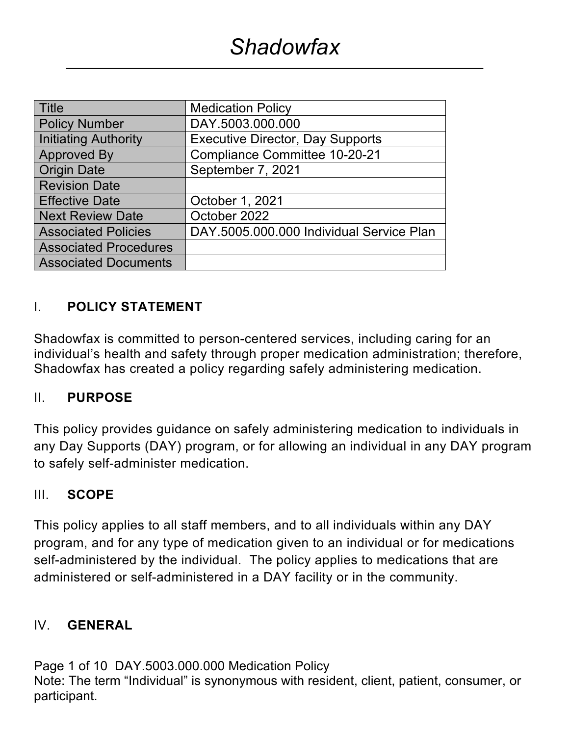| <b>Title</b>                 | <b>Medication Policy</b>                 |  |  |
|------------------------------|------------------------------------------|--|--|
| <b>Policy Number</b>         | DAY.5003.000.000                         |  |  |
| <b>Initiating Authority</b>  | <b>Executive Director, Day Supports</b>  |  |  |
| <b>Approved By</b>           | <b>Compliance Committee 10-20-21</b>     |  |  |
| <b>Origin Date</b>           | September 7, 2021                        |  |  |
| <b>Revision Date</b>         |                                          |  |  |
| <b>Effective Date</b>        | October 1, 2021                          |  |  |
| <b>Next Review Date</b>      | October 2022                             |  |  |
| <b>Associated Policies</b>   | DAY.5005.000.000 Individual Service Plan |  |  |
| <b>Associated Procedures</b> |                                          |  |  |
| <b>Associated Documents</b>  |                                          |  |  |

### I. **POLICY STATEMENT**

Shadowfax is committed to person-centered services, including caring for an individual's health and safety through proper medication administration; therefore, Shadowfax has created a policy regarding safely administering medication.

### II. **PURPOSE**

This policy provides guidance on safely administering medication to individuals in any Day Supports (DAY) program, or for allowing an individual in any DAY program to safely self-administer medication.

### III. **SCOPE**

This policy applies to all staff members, and to all individuals within any DAY program, and for any type of medication given to an individual or for medications self-administered by the individual. The policy applies to medications that are administered or self-administered in a DAY facility or in the community.

### IV. **GENERAL**

Page 1 of 10 DAY.5003.000.000 Medication Policy Note: The term "Individual" is synonymous with resident, client, patient, consumer, or participant.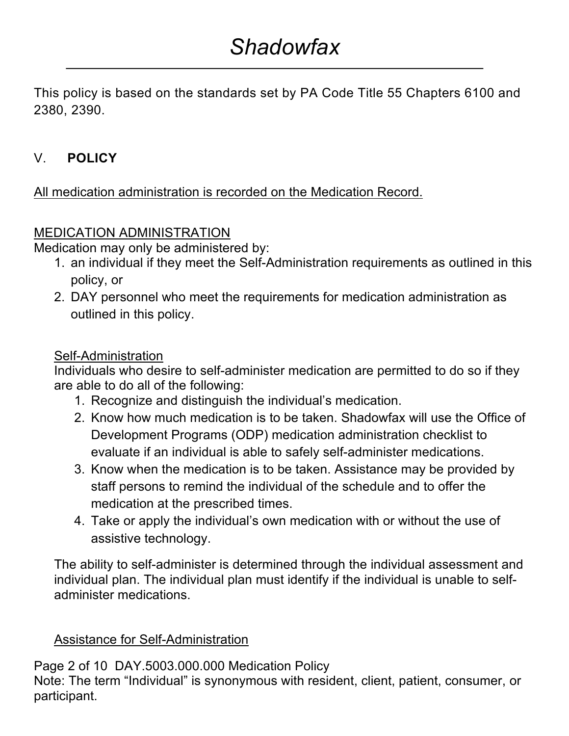This policy is based on the standards set by PA Code Title 55 Chapters 6100 and 2380, 2390.

# V. **POLICY**

### All medication administration is recorded on the Medication Record.

### MEDICATION ADMINISTRATION

Medication may only be administered by:

- 1. an individual if they meet the Self-Administration requirements as outlined in this policy, or
- 2. DAY personnel who meet the requirements for medication administration as outlined in this policy.

### Self-Administration

Individuals who desire to self-administer medication are permitted to do so if they are able to do all of the following:

- 1. Recognize and distinguish the individual's medication.
- 2. Know how much medication is to be taken. Shadowfax will use the Office of Development Programs (ODP) medication administration checklist to evaluate if an individual is able to safely self-administer medications.
- 3. Know when the medication is to be taken. Assistance may be provided by staff persons to remind the individual of the schedule and to offer the medication at the prescribed times.
- 4. Take or apply the individual's own medication with or without the use of assistive technology.

The ability to self-administer is determined through the individual assessment and individual plan. The individual plan must identify if the individual is unable to selfadminister medications.

### Assistance for Self-Administration

Page 2 of 10 DAY.5003.000.000 Medication Policy Note: The term "Individual" is synonymous with resident, client, patient, consumer, or participant.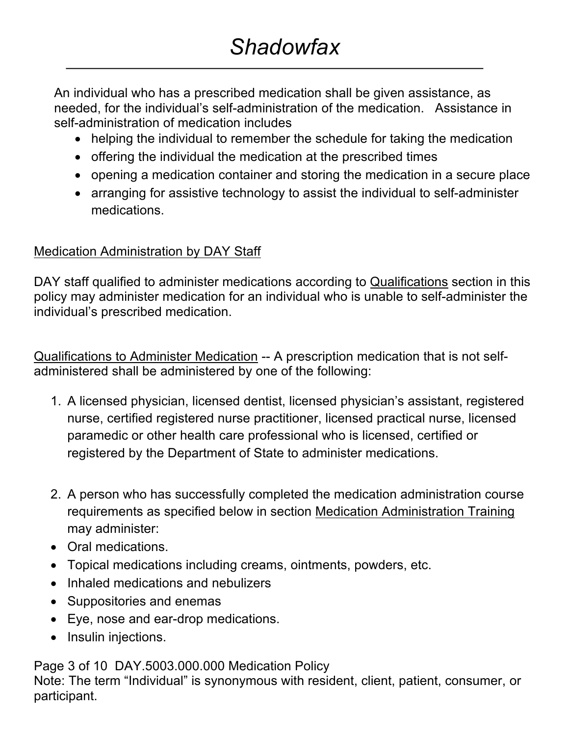An individual who has a prescribed medication shall be given assistance, as needed, for the individual's self-administration of the medication. Assistance in self-administration of medication includes

- helping the individual to remember the schedule for taking the medication
- offering the individual the medication at the prescribed times
- opening a medication container and storing the medication in a secure place
- arranging for assistive technology to assist the individual to self-administer medications.

### Medication Administration by DAY Staff

DAY staff qualified to administer medications according to Qualifications section in this policy may administer medication for an individual who is unable to self-administer the individual's prescribed medication.

Qualifications to Administer Medication -- A prescription medication that is not selfadministered shall be administered by one of the following:

- 1. A licensed physician, licensed dentist, licensed physician's assistant, registered nurse, certified registered nurse practitioner, licensed practical nurse, licensed paramedic or other health care professional who is licensed, certified or registered by the Department of State to administer medications.
- 2. A person who has successfully completed the medication administration course requirements as specified below in section Medication Administration Training may administer:
- Oral medications.
- Topical medications including creams, ointments, powders, etc.
- Inhaled medications and nebulizers
- Suppositories and enemas
- Eye, nose and ear-drop medications.
- Insulin injections.

Page 3 of 10 DAY.5003.000.000 Medication Policy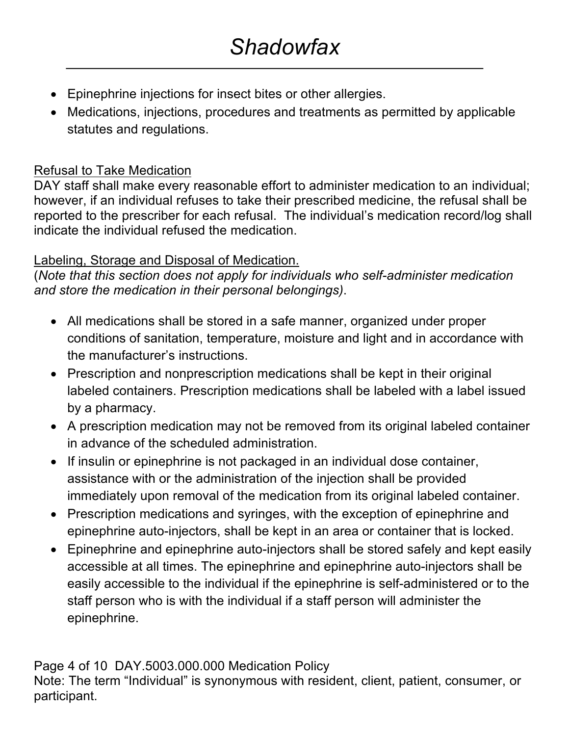- Epinephrine injections for insect bites or other allergies.
- Medications, injections, procedures and treatments as permitted by applicable statutes and regulations.

### Refusal to Take Medication

DAY staff shall make every reasonable effort to administer medication to an individual; however, if an individual refuses to take their prescribed medicine, the refusal shall be reported to the prescriber for each refusal. The individual's medication record/log shall indicate the individual refused the medication.

### Labeling, Storage and Disposal of Medication.

(*Note that this section does not apply for individuals who self-administer medication and store the medication in their personal belongings)*.

- All medications shall be stored in a safe manner, organized under proper conditions of sanitation, temperature, moisture and light and in accordance with the manufacturer's instructions.
- Prescription and nonprescription medications shall be kept in their original labeled containers. Prescription medications shall be labeled with a label issued by a pharmacy.
- A prescription medication may not be removed from its original labeled container in advance of the scheduled administration.
- If insulin or epinephrine is not packaged in an individual dose container, assistance with or the administration of the injection shall be provided immediately upon removal of the medication from its original labeled container.
- Prescription medications and syringes, with the exception of epinephrine and epinephrine auto-injectors, shall be kept in an area or container that is locked.
- Epinephrine and epinephrine auto-injectors shall be stored safely and kept easily accessible at all times. The epinephrine and epinephrine auto-injectors shall be easily accessible to the individual if the epinephrine is self-administered or to the staff person who is with the individual if a staff person will administer the epinephrine.

## Page 4 of 10 DAY.5003.000.000 Medication Policy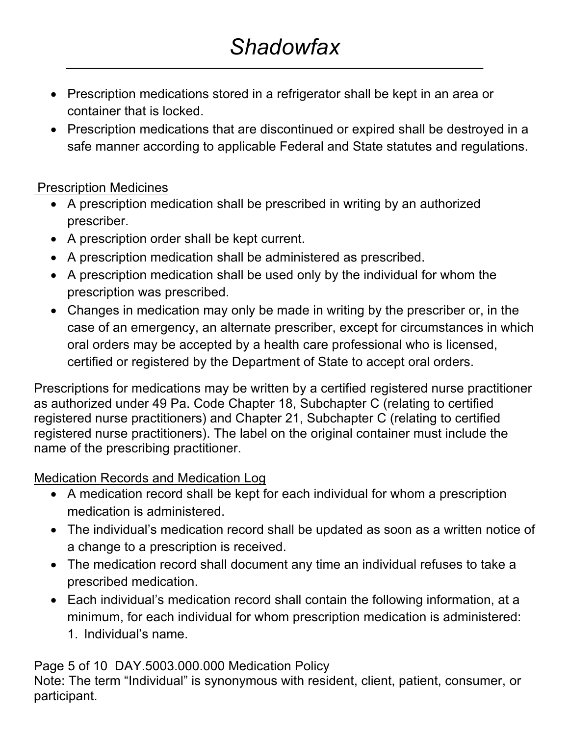# *Shadowfax*

- Prescription medications stored in a refrigerator shall be kept in an area or container that is locked.
- Prescription medications that are discontinued or expired shall be destroyed in a safe manner according to applicable Federal and State statutes and regulations.

### Prescription Medicines

- A prescription medication shall be prescribed in writing by an authorized prescriber.
- A prescription order shall be kept current.
- A prescription medication shall be administered as prescribed.
- A prescription medication shall be used only by the individual for whom the prescription was prescribed.
- Changes in medication may only be made in writing by the prescriber or, in the case of an emergency, an alternate prescriber, except for circumstances in which oral orders may be accepted by a health care professional who is licensed, certified or registered by the Department of State to accept oral orders.

Prescriptions for medications may be written by a certified registered nurse practitioner as authorized under 49 Pa. Code Chapter 18, Subchapter C (relating to certified registered nurse practitioners) and Chapter 21, Subchapter C (relating to certified registered nurse practitioners). The label on the original container must include the name of the prescribing practitioner.

### Medication Records and Medication Log

- A medication record shall be kept for each individual for whom a prescription medication is administered.
- The individual's medication record shall be updated as soon as a written notice of a change to a prescription is received.
- The medication record shall document any time an individual refuses to take a prescribed medication.
- Each individual's medication record shall contain the following information, at a minimum, for each individual for whom prescription medication is administered: 1. Individual's name.

Page 5 of 10 DAY.5003.000.000 Medication Policy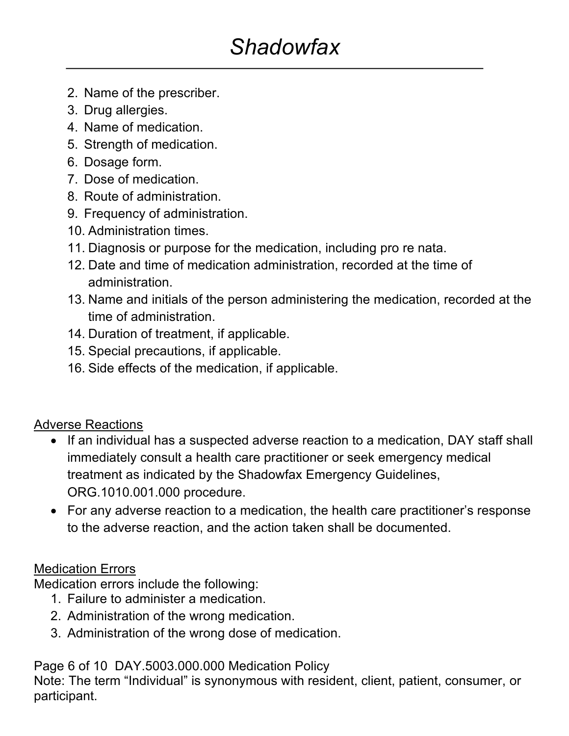# *Shadowfax*

- 2. Name of the prescriber.
- 3. Drug allergies.
- 4. Name of medication.
- 5. Strength of medication.
- 6. Dosage form.
- 7. Dose of medication.
- 8. Route of administration.
- 9. Frequency of administration.
- 10. Administration times.
- 11. Diagnosis or purpose for the medication, including pro re nata.
- 12. Date and time of medication administration, recorded at the time of administration.
- 13. Name and initials of the person administering the medication, recorded at the time of administration.
- 14. Duration of treatment, if applicable.
- 15. Special precautions, if applicable.
- 16. Side effects of the medication, if applicable.

## Adverse Reactions

- If an individual has a suspected adverse reaction to a medication, DAY staff shall immediately consult a health care practitioner or seek emergency medical treatment as indicated by the Shadowfax Emergency Guidelines, ORG.1010.001.000 procedure.
- For any adverse reaction to a medication, the health care practitioner's response to the adverse reaction, and the action taken shall be documented.

## Medication Errors

Medication errors include the following:

- 1. Failure to administer a medication.
- 2. Administration of the wrong medication.
- 3. Administration of the wrong dose of medication.

Page 6 of 10 DAY.5003.000.000 Medication Policy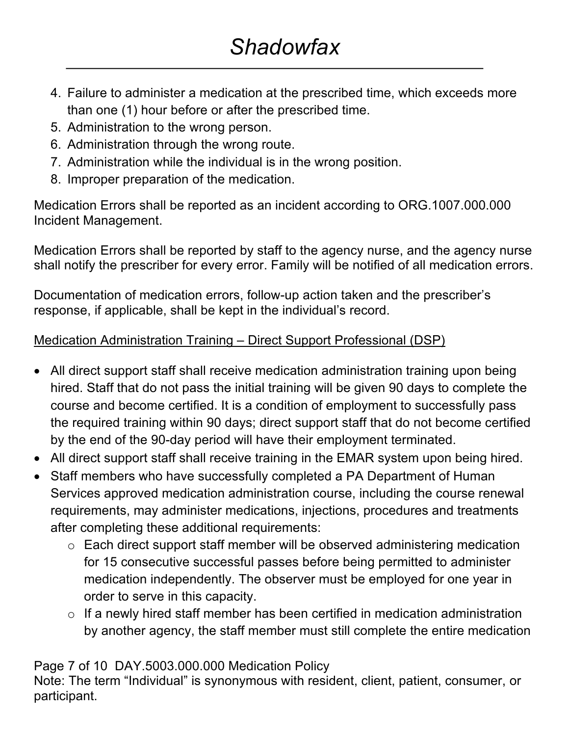- 4. Failure to administer a medication at the prescribed time, which exceeds more than one (1) hour before or after the prescribed time.
- 5. Administration to the wrong person.
- 6. Administration through the wrong route.
- 7. Administration while the individual is in the wrong position.
- 8. Improper preparation of the medication.

Medication Errors shall be reported as an incident according to ORG.1007.000.000 Incident Management.

Medication Errors shall be reported by staff to the agency nurse, and the agency nurse shall notify the prescriber for every error. Family will be notified of all medication errors.

Documentation of medication errors, follow-up action taken and the prescriber's response, if applicable, shall be kept in the individual's record.

## Medication Administration Training – Direct Support Professional (DSP)

- All direct support staff shall receive medication administration training upon being hired. Staff that do not pass the initial training will be given 90 days to complete the course and become certified. It is a condition of employment to successfully pass the required training within 90 days; direct support staff that do not become certified by the end of the 90-day period will have their employment terminated.
- All direct support staff shall receive training in the EMAR system upon being hired.
- Staff members who have successfully completed a PA Department of Human Services approved medication administration course, including the course renewal requirements, may administer medications, injections, procedures and treatments after completing these additional requirements:
	- o Each direct support staff member will be observed administering medication for 15 consecutive successful passes before being permitted to administer medication independently. The observer must be employed for one year in order to serve in this capacity.
	- o If a newly hired staff member has been certified in medication administration by another agency, the staff member must still complete the entire medication

## Page 7 of 10 DAY.5003.000.000 Medication Policy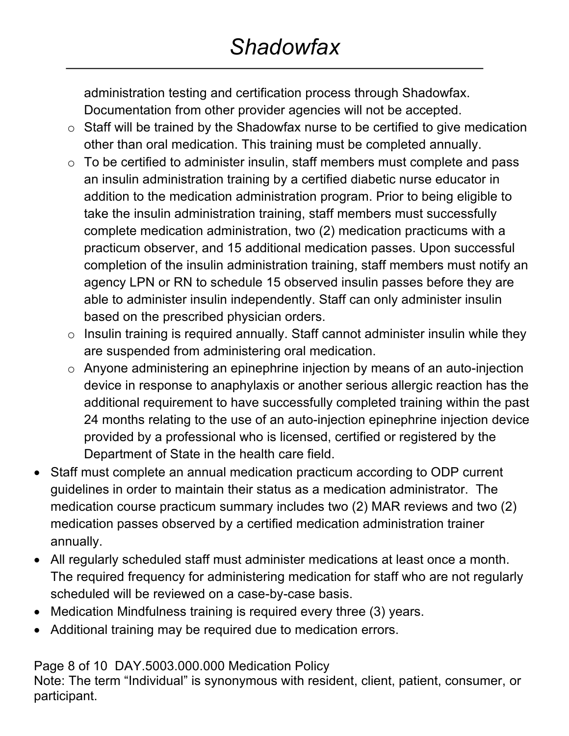administration testing and certification process through Shadowfax. Documentation from other provider agencies will not be accepted.

- o Staff will be trained by the Shadowfax nurse to be certified to give medication other than oral medication. This training must be completed annually.
- o To be certified to administer insulin, staff members must complete and pass an insulin administration training by a certified diabetic nurse educator in addition to the medication administration program. Prior to being eligible to take the insulin administration training, staff members must successfully complete medication administration, two (2) medication practicums with a practicum observer, and 15 additional medication passes. Upon successful completion of the insulin administration training, staff members must notify an agency LPN or RN to schedule 15 observed insulin passes before they are able to administer insulin independently. Staff can only administer insulin based on the prescribed physician orders.
- $\circ$  Insulin training is required annually. Staff cannot administer insulin while they are suspended from administering oral medication.
- o Anyone administering an epinephrine injection by means of an auto-injection device in response to anaphylaxis or another serious allergic reaction has the additional requirement to have successfully completed training within the past 24 months relating to the use of an auto-injection epinephrine injection device provided by a professional who is licensed, certified or registered by the Department of State in the health care field.
- Staff must complete an annual medication practicum according to ODP current guidelines in order to maintain their status as a medication administrator. The medication course practicum summary includes two (2) MAR reviews and two (2) medication passes observed by a certified medication administration trainer annually.
- All regularly scheduled staff must administer medications at least once a month. The required frequency for administering medication for staff who are not regularly scheduled will be reviewed on a case-by-case basis.
- Medication Mindfulness training is required every three (3) years.
- Additional training may be required due to medication errors.

Page 8 of 10 DAY.5003.000.000 Medication Policy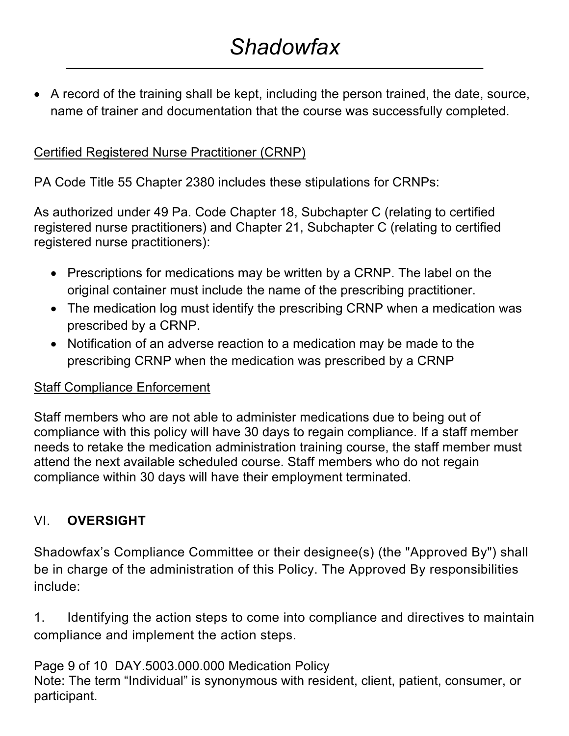• A record of the training shall be kept, including the person trained, the date, source, name of trainer and documentation that the course was successfully completed.

## Certified Registered Nurse Practitioner (CRNP)

PA Code Title 55 Chapter 2380 includes these stipulations for CRNPs:

As authorized under 49 Pa. Code Chapter 18, Subchapter C (relating to certified registered nurse practitioners) and Chapter 21, Subchapter C (relating to certified registered nurse practitioners):

- Prescriptions for medications may be written by a CRNP. The label on the original container must include the name of the prescribing practitioner.
- The medication log must identify the prescribing CRNP when a medication was prescribed by a CRNP.
- Notification of an adverse reaction to a medication may be made to the prescribing CRNP when the medication was prescribed by a CRNP

### Staff Compliance Enforcement

Staff members who are not able to administer medications due to being out of compliance with this policy will have 30 days to regain compliance. If a staff member needs to retake the medication administration training course, the staff member must attend the next available scheduled course. Staff members who do not regain compliance within 30 days will have their employment terminated.

## VI. **OVERSIGHT**

Shadowfax's Compliance Committee or their designee(s) (the "Approved By") shall be in charge of the administration of this Policy. The Approved By responsibilities include:

1. Identifying the action steps to come into compliance and directives to maintain compliance and implement the action steps.

Page 9 of 10 DAY.5003.000.000 Medication Policy Note: The term "Individual" is synonymous with resident, client, patient, consumer, or participant.